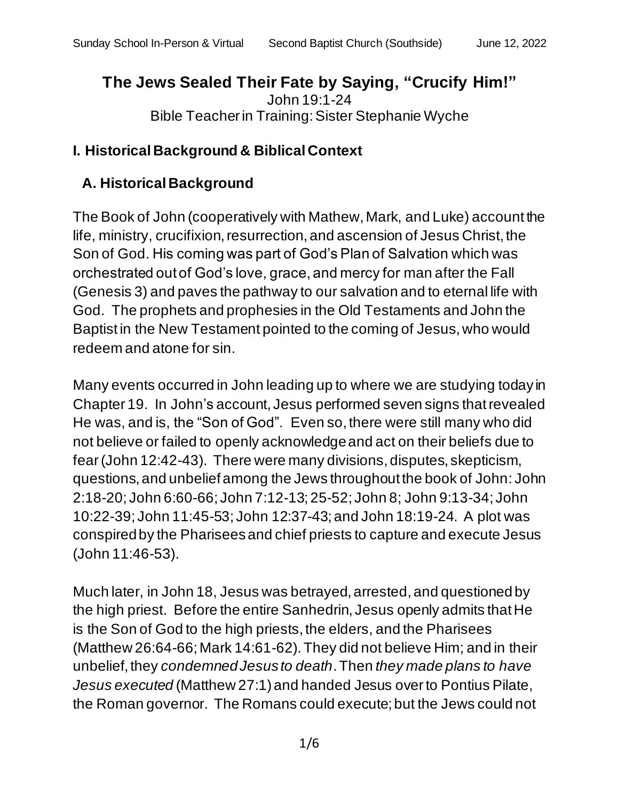#### **The Jews Sealed Their Fate by Saying, "Crucify Him!"** John 19:1-24 Bible Teacher in Training: Sister Stephanie Wyche

#### **I. Historical Background & Biblical Context**

#### **A. Historical Background**

The Book of John (cooperatively with Mathew, Mark, and Luke) account the life, ministry, crucifixion, resurrection, and ascension of Jesus Christ, the Son of God. His coming was part of God's Plan of Salvation which was orchestrated out of God's love, grace, and mercy for man after the Fall (Genesis 3) and paves the pathway to our salvation and to eternal life with God. The prophets and prophesies in the Old Testaments and John the Baptist in the New Testament pointed to the coming of Jesus, who would redeem and atone for sin.

Many events occurred in John leading up to where we are studying today in Chapter 19. In John's account, Jesus performed seven signs thatrevealed He was, and is, the "Son of God". Even so, there were still many who did not believe or failed to openly acknowledge and act on their beliefs due to fear(John 12:42-43). There were many divisions, disputes, skepticism, questions, and unbelief among the Jews throughout the book of John: John 2:18-20; John 6:60-66; John 7:12-13; 25-52; John 8; John 9:13-34; John 10:22-39; John 11:45-53; John 12:37-43; and John 18:19-24. A plot was conspired by the Pharisees and chief priests to capture and execute Jesus (John 11:46-53).

Much later, in John 18, Jesus was betrayed, arrested, and questioned by the high priest. Before the entire Sanhedrin, Jesus openly admits that He is the Son of God to the high priests, the elders, and the Pharisees (Matthew 26:64-66; Mark 14:61-62). They did not believe Him; and in their unbelief, they *condemned Jesus to death*. Then *they made plans to have Jesus executed* (Matthew 27:1) and handed Jesus overto Pontius Pilate, the Roman governor. The Romans could execute; but the Jews could not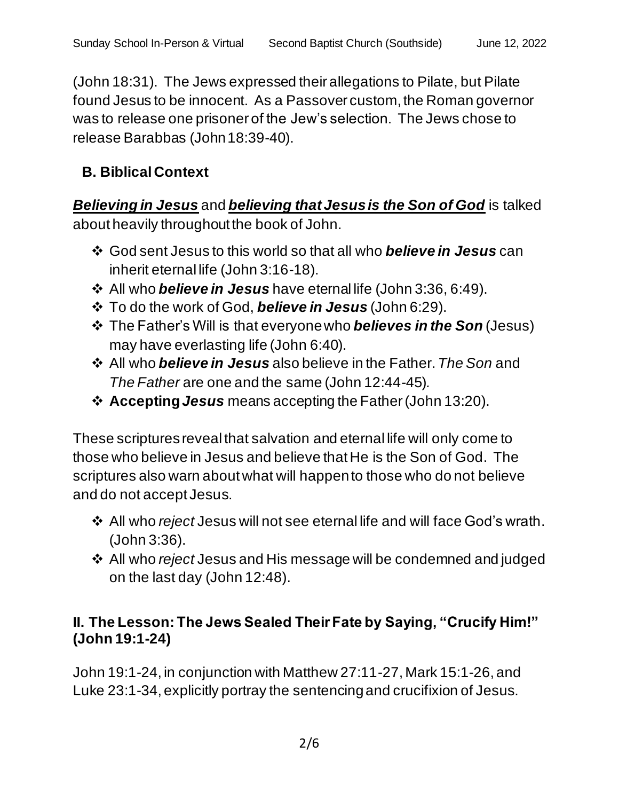(John 18:31). The Jews expressed their allegations to Pilate, but Pilate found Jesus to be innocent. As a Passover custom, the Roman governor was to release one prisoner of the Jew's selection. The Jews chose to release Barabbas (John 18:39-40).

# **B. Biblical Context**

*Believing in Jesus* and *believing that Jesus is the Son of God* is talked about heavily throughout the book of John.

- ❖ God sent Jesus to this world so that all who *believe in Jesus* can inherit eternal life (John 3:16-18).
- ❖ All who *believe in Jesus* have eternal life (John 3:36, 6:49).
- ❖ To do the work of God, *believe in Jesus* (John 6:29).
- ❖ The Father's Will is that everyone who *believes in the Son* (Jesus) may have everlasting life (John 6:40).
- ❖ All who *believe in Jesus* also believe in the Father.*The Son* and *The Father* are one and the same (John 12:44-45)*.*
- ❖ **Accepting***Jesus* means accepting the Father (John 13:20).

These scriptures reveal that salvation and eternal life will only come to those who believe in Jesus and believe that He is the Son of God. The scriptures also warn about what will happen to those who do not believe and do not accept Jesus.

- ❖ All who *reject* Jesus will not see eternal life and will face God's wrath. (John 3:36).
- ❖ All who *reject* Jesus and His message will be condemned and judged on the last day (John 12:48).

### **II. The Lesson: The Jews Sealed Their Fate by Saying, "Crucify Him!" (John 19:1-24)**

John 19:1-24, in conjunction with Matthew 27:11-27, Mark 15:1-26, and Luke 23:1-34, explicitly portray the sentencing and crucifixion of Jesus.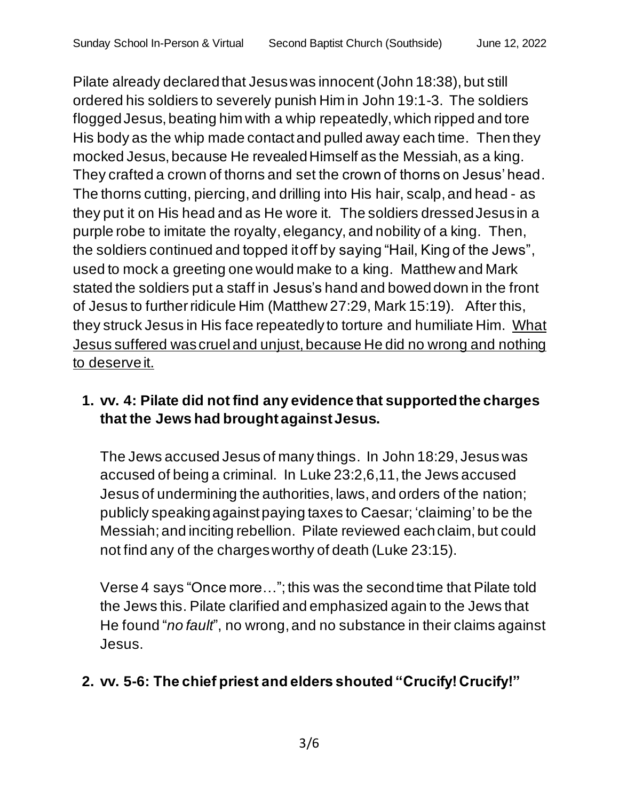Pilate already declared that Jesus was innocent (John 18:38), but still ordered his soldiers to severely punish Him in John 19:1-3. The soldiers flogged Jesus, beating him with a whip repeatedly,which ripped and tore His body as the whip made contact and pulled away each time. Then they mocked Jesus, because He revealed Himself as the Messiah, as a king. They crafted a crown of thorns and set the crown of thorns on Jesus' head. The thorns cutting, piercing, and drilling into His hair, scalp, and head - as they put it on His head and as He wore it. The soldiers dressed Jesus in a purple robe to imitate the royalty, elegancy, and nobility of a king. Then, the soldiers continued and topped it off by saying "Hail, King of the Jews", used to mock a greeting one would make to a king. Matthew and Mark stated the soldiers put a staff in Jesus's hand and boweddown in the front of Jesus to further ridicule Him (Matthew 27:29, Mark 15:19). After this, they struck Jesus in His face repeatedly to torture and humiliate Him. What Jesus suffered was cruel and unjust, because He did no wrong and nothing to deserve it.

# **1. vv. 4: Pilate did not find any evidence that supported the charges that the Jews had brought against Jesus.**

The Jews accused Jesus of many things. In John 18:29, Jesus was accused of being a criminal. In Luke 23:2,6,11, the Jews accused Jesus of undermining the authorities, laws, and orders of the nation; publicly speakingagainst paying taxes to Caesar; 'claiming' to be the Messiah; and inciting rebellion. Pilate reviewed eachclaim, but could not find any of the charges worthy of death (Luke 23:15).

Verse 4 says "Once more…"; this was the second time that Pilate told the Jews this. Pilate clarified and emphasized again to the Jews that He found "*no fault*", no wrong, and no substance in their claims against Jesus.

# **2. vv. 5-6: The chief priest and elders shouted "Crucify! Crucify!"**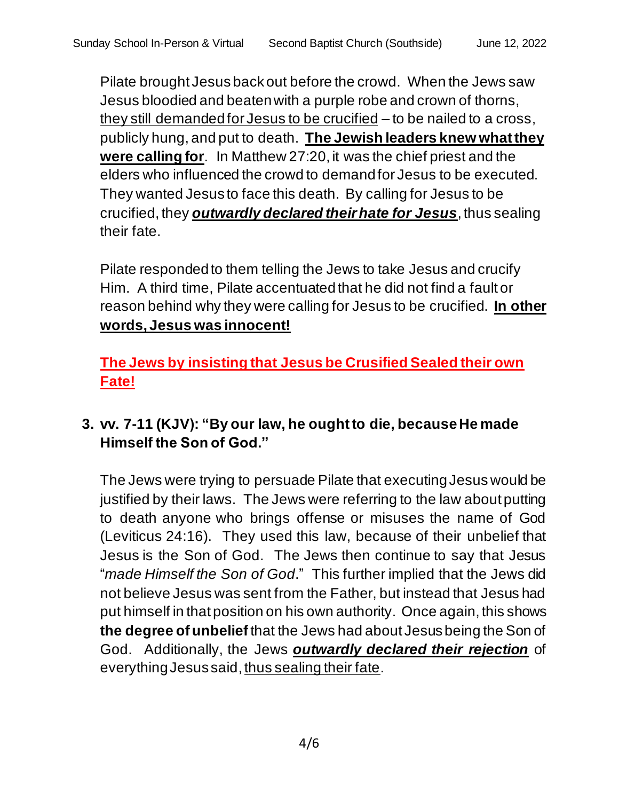Pilate brought Jesus back out before the crowd. When the Jews saw Jesus bloodied and beaten with a purple robe and crown of thorns, they still demanded for Jesus to be crucified – to be nailed to a cross, publicly hung, and put to death. **The Jewish leaders knew what they were calling for**. In Matthew 27:20, it was the chief priest and the elders who influenced the crowd to demand for Jesus to be executed. They wanted Jesus to face this death. By calling for Jesus to be crucified, they *outwardly declared their hate for Jesus*, thus sealing their fate.

Pilate responded to them telling the Jews to take Jesus and crucify Him. A third time, Pilate accentuated that he did not find a fault or reason behind why they were calling for Jesus to be crucified. **In other words, Jesus was innocent!**

# **The Jews by insisting that Jesus be Crusified Sealed their own Fate!**

# **3. vv. 7-11 (KJV): "By our law, he ought to die, because He made Himself the Son of God."**

The Jews were trying to persuade Pilate that executing Jesus would be justified by their laws. The Jews were referring to the law about putting to death anyone who brings offense or misuses the name of God (Leviticus 24:16). They used this law, because of their unbelief that Jesus is the Son of God. The Jews then continue to say that Jesus "*made Himself the Son of God*." This further implied that the Jews did not believe Jesus was sent from the Father, but instead that Jesus had put himself in that position on his own authority. Once again, this shows **the degree of unbelief**that the Jews had about Jesus being the Son of God. Additionally, the Jews *outwardly declared their rejection* of everything Jesus said, thus sealing their fate.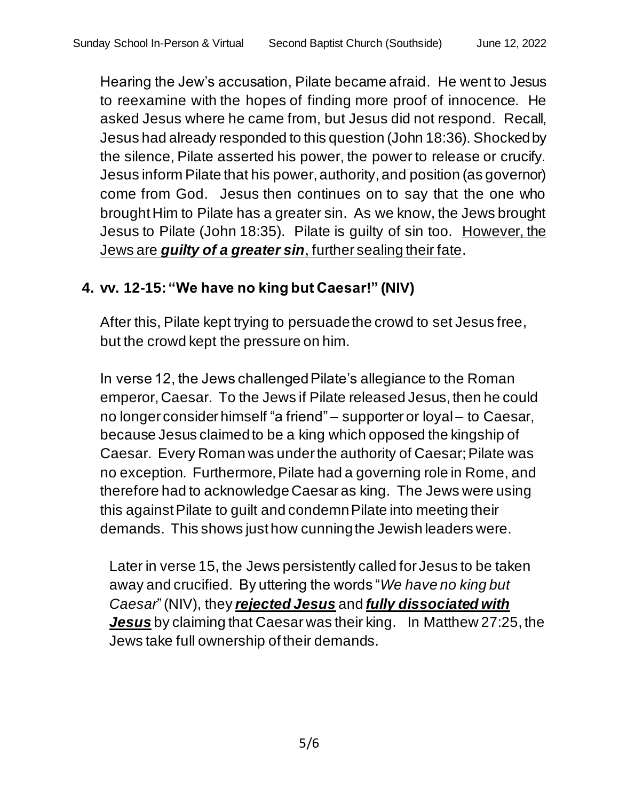Hearing the Jew's accusation, Pilate became afraid. He went to Jesus to reexamine with the hopes of finding more proof of innocence. He asked Jesus where he came from, but Jesus did not respond. Recall, Jesus had already responded to this question (John 18:36). Shocked by the silence, Pilate asserted his power, the power to release or crucify. Jesus inform Pilate that his power, authority, and position (as governor) come from God. Jesus then continues on to say that the one who brought Him to Pilate has a greater sin. As we know, the Jews brought Jesus to Pilate (John 18:35). Pilate is guilty of sin too. However, the Jews are *guilty of a greater sin*, further sealing their fate.

# **4. vv. 12-15: "We have no king but Caesar!" (NIV)**

After this, Pilate kept trying to persuade the crowd to set Jesus free, but the crowd kept the pressure on him.

In verse 12, the Jews challenged Pilate's allegiance to the Roman emperor, Caesar. To the Jews if Pilate released Jesus, then he could no longer consider himself "a friend" – supporter or loyal – to Caesar, because Jesus claimed to be a king which opposed the kingship of Caesar. Every Roman was under the authority of Caesar; Pilate was no exception. Furthermore, Pilate had a governing role in Rome, and therefore had to acknowledge Caesar as king. The Jews were using this against Pilate to guilt and condemn Pilate into meeting their demands. This shows just how cunning the Jewish leaders were.

Later in verse 15, the Jews persistently called for Jesus to be taken away and crucified. By uttering the words "*We have no king but Caesar*"(NIV), they *rejected Jesus* and *fully dissociated with Jesus* by claiming that Caesar was their king. In Matthew 27:25, the Jews take full ownership of their demands.